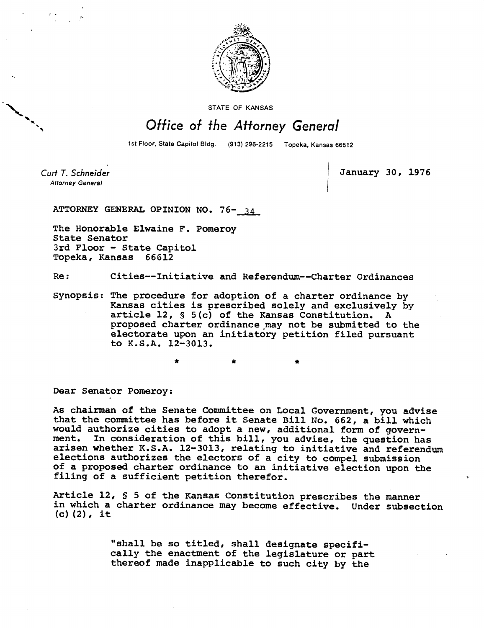

STATE OF KANSAS

## Office of the Attorney General

1st Floor, State Capitol Bldg. (913) 296-2215 Topeka, Kansas 66612

Curt T. Schneider **Attorney General** 

**January 30, 1976** 

**ATTORNEY GENERAL OPINION NO. 76- 34** 

**The Honorable Elwaine F. Pomeroy State Senator 3rd Floor - State Capitol Topeka, Kansas 66612** 

**Re: Cities--Initiative and Referendum--Charter Ordinances** 

**Synopsis: The procedure for adoption of a charter ordinance by Kansas cities is prescribed solely and exclusively by article 12, § 5(c) of the Kansas Constitution. A proposed charter ordinance may not be submitted to the electorate upon an initiatory petition filed pursuant to K.S.A. 12-3013.** 

**Dear Senator Pomeroy:** 

**As chairman of the Senate Committee on Local Government, you advise that the committee has before it Senate Bill No. 662, a bill which would authorize cities to adopt a new, additional form of government. In consideration of this bill, you advise, the question has arisen whether K.S.A. 12-3013, relating to initiative and referendum elections authorizes the electors of a city to compel submission of a proposed charter ordinance to an initiative election upon the filing of a sufficient petition therefor.** 

**Article 12, § 5 of the Kansas Constitution prescribes the manner in which a charter ordinance may become effective. Under subsection (c)(2), it** 

> **"shall be so titled, shall designate specifically the enactment of the legislature or part thereof made inapplicable to such city by the**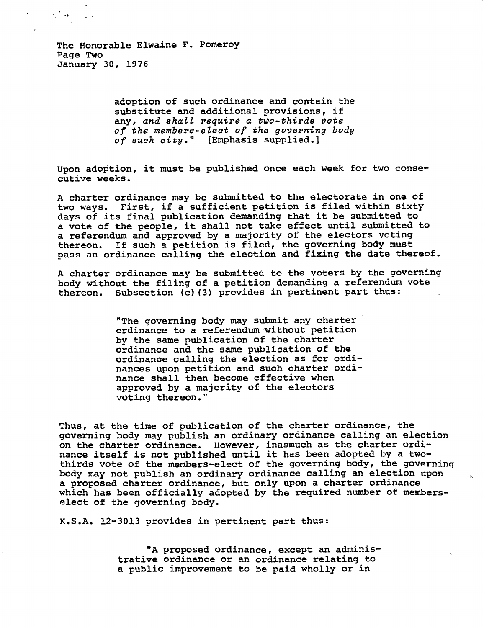$\mathcal{H}^{\mathcal{F}}(\mathbf{A})=\mathcal{F}(\mathbf{A})$ 

**adoption of such ordinance and contain the substitute and additional provisions, if any, and shall require a two-thirds vote of the members-elect of the governing body of such city." [Emphasis supplied.]** 

**Upon adoption, it must be published once each week for two consecutive weeks.** 

**A charter ordinance may be submitted to the electorate in one of two ways. First, if a sufficient petition is filed within sixty days of its final publication demanding that it be submitted to a vote of the people, it shall not take effect until submitted to a referendum and approved by a majority of the electors voting thereon. If such a petition is filed, the governing body must pass an ordinance calling the election and fixing the date thereof.** 

**A charter ordinance may be submitted to the voters by the governing body without the filing of a petition demanding a referendum vote thereon. Subsection (c)(3) provides in pertinent part thus:** 

> **"The governing body may submit any charter ordinance to a referendum without petition by the same publication of the charter ordinance and the same publication of the ordinance calling the election as for ordinances upon petition and such charter ordinance shall then become effective when approved by a majority of the electors voting thereon."**

**Thus, at the time of publication of the charter ordinance, the governing body may publish an ordinary ordinance calling an election on the charter ordinance. However, inasmuch as the charter ordinance itself is not published until it has been adopted by a twothirds vote of the members-elect of the governing body, the governing body may not publish an ordinary ordinance calling an election upon a proposed charter ordinance, but only upon a charter ordinance which has been officially adopted by the required number of memberselect of the governing body.** 

**K.S.A. 12-3013 provides in pertinent part thus:** 

**"A proposed ordinance, except an administrative ordinance or an ordinance relating to a public improvement to be paid wholly or in**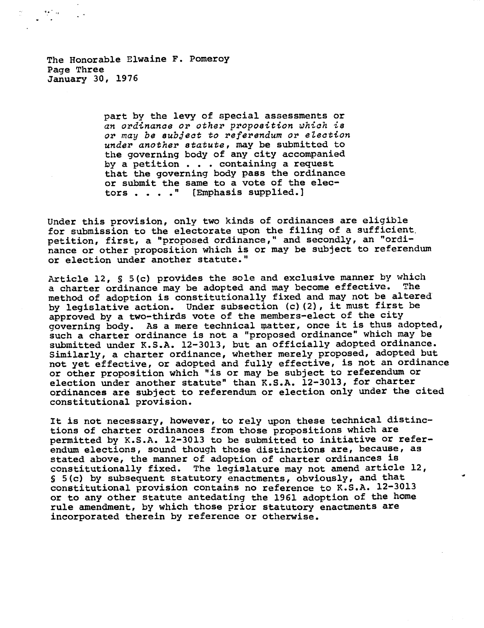The Honorable Elwaine F. Pomeroy Page Three January 30, 1976

> **part by the levy of special assessments or an ordinance or other proposition which is or may be subject to referendum or election under another statute, may be submitted to the governing body of any city accompanied by a petition . . . containing a request that the governing body pass the ordinance or submit the same to a vote of the electors . . . ." (Emphasis supplied.)**

**Under this provision, only two kinds of ordinances are eligible for submission to the electorate upon the filing of a sufficient. petition, first, a "proposed ordinance," and secondly, an "ordinance or other proposition which is or may be subject to referendum or election under another statute."** 

**Article 12, S 5(c) provides the sole and exclusive manner by which a charter ordinance may be adopted and may become effective. The method of adoption is constitutionally fixed and may not be altered by legislative action. Under subsection (c)(2), it must first be approved by a two-thirds vote of the members-elect of the city governing body. As a mere technical matter, once it is thus adopted, such a charter ordinance is not a "proposed ordinance" which may be submitted under K.S.A. 12-3013, but an officially adopted ordinance. Similarly, a charter ordinance, whether merely proposed, adopted but not yet effective, or adopted and fully effective, is not an ordinance or other proposition which "is or may be subject to referendum or election under another statute" than K.S.A. 12-3013, for charter ordinances are subject to referendum or election only under the cited constitutional provision.** 

**It is not necessary, however, to rely upon these technical distinctions of charter ordinances from those propositions which are permitted by K.S.A. 12-3013 to be submitted to initiative or referendum elections, sound though those distinctions are, because, as stated above, the manner of adoption of charter ordinances is constitutionally fixed. The legislature may not amend article 12, S 5(c) by subsequent statutory enactments, obviously, and that constitutional provision contains no reference to K.S.A. 12-3013 or to any other statute antedating the 1961 adoption of the home rule amendment, by which those prior statutory enactments are incorporated therein by reference or otherwise.**